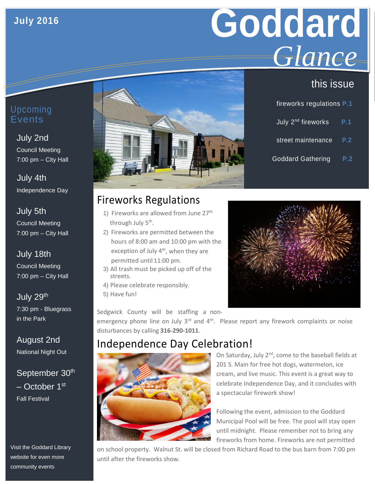# **July 2016**

# **Goddard** *Glance*

# this issue

| fireworks regulations P.1      |     |
|--------------------------------|-----|
| July 2 <sup>nd</sup> fireworks | P.1 |
| street maintenance             | P.2 |
| <b>Goddard Gathering</b>       | P.2 |

#### Upcoming **E**vents

#### July 2nd Council Meeting 7:00 pm – City Hall

 July 4th Independence Day

#### July 5th Council Meeting 7:00 pm – City Hall

# July 18th

Council Meeting 7:00 pm – City Hall

July 29<sup>th</sup> 7:30 pm - Bluegrass in the Park

August 2nd National Night Out

## September 30<sup>th</sup> – October 1st Fall Festival

Visit the Goddard Library website for even more community events



# Fireworks Regulations

- 1) Fireworks are allowed from June 27<sup>th</sup> through July 5<sup>th</sup>.
- 2) Fireworks are permitted between the hours of 8:00 am and 10:00 pm with the exception of July 4<sup>th</sup>, when they are permitted until 11:00 pm.
- 3) All trash must be picked up off of the streets.
- 4) Please celebrate responsibly.
- 5) Have fun!

Sedgwick County will be staffing a non-

emergency phone line on July  $3<sup>rd</sup>$  and  $4<sup>th</sup>$ . Please report any firework complaints or noise disturbances by calling **316-290-1011**.

# Independence Day Celebration!



On Saturday, July 2<sup>nd</sup>, come to the baseball fields at 201 S. Main for free hot dogs, watermelon, ice cream, and live music. This event is a great way to celebrate Independence Day, and it concludes with a spectacular firework show!

Following the event, admission to the Goddard Municipal Pool will be free. The pool will stay open until midnight. Please remember not to bring any fireworks from home. Fireworks are not permitted

on school property. Walnut St. will be closed from Richard Road to the bus barn from 7:00 pm until after the fireworks show.